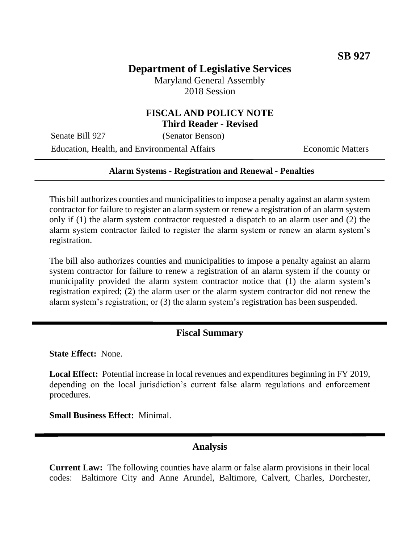# **Department of Legislative Services**

Maryland General Assembly 2018 Session

### **FISCAL AND POLICY NOTE Third Reader - Revised**

Senate Bill 927 (Senator Benson) Education, Health, and Environmental Affairs Economic Matters

#### **Alarm Systems - Registration and Renewal - Penalties**

This bill authorizes counties and municipalities to impose a penalty against an alarm system contractor for failure to register an alarm system or renew a registration of an alarm system only if (1) the alarm system contractor requested a dispatch to an alarm user and (2) the alarm system contractor failed to register the alarm system or renew an alarm system's registration.

The bill also authorizes counties and municipalities to impose a penalty against an alarm system contractor for failure to renew a registration of an alarm system if the county or municipality provided the alarm system contractor notice that (1) the alarm system's registration expired; (2) the alarm user or the alarm system contractor did not renew the alarm system's registration; or (3) the alarm system's registration has been suspended.

#### **Fiscal Summary**

**State Effect:** None.

**Local Effect:** Potential increase in local revenues and expenditures beginning in FY 2019, depending on the local jurisdiction's current false alarm regulations and enforcement procedures.

**Small Business Effect:** Minimal.

### **Analysis**

**Current Law:** The following counties have alarm or false alarm provisions in their local codes: Baltimore City and Anne Arundel, Baltimore, Calvert, Charles, Dorchester,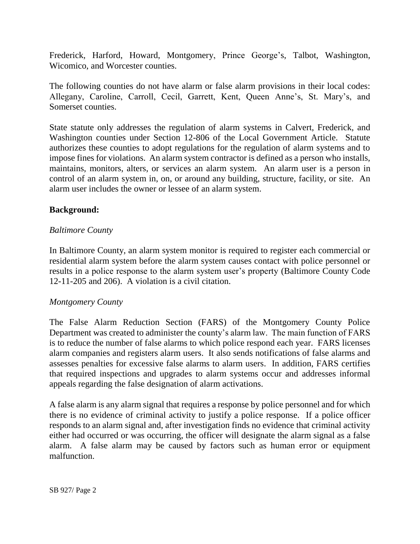Frederick, Harford, Howard, Montgomery, Prince George's, Talbot, Washington, Wicomico, and Worcester counties.

The following counties do not have alarm or false alarm provisions in their local codes: Allegany, Caroline, Carroll, Cecil, Garrett, Kent, Queen Anne's, St. Mary's, and Somerset counties.

State statute only addresses the regulation of alarm systems in Calvert, Frederick, and Washington counties under Section 12-806 of the Local Government Article. Statute authorizes these counties to adopt regulations for the regulation of alarm systems and to impose fines for violations. An alarm system contractor is defined as a person who installs, maintains, monitors, alters, or services an alarm system. An alarm user is a person in control of an alarm system in, on, or around any building, structure, facility, or site. An alarm user includes the owner or lessee of an alarm system.

## **Background:**

## *Baltimore County*

In Baltimore County, an alarm system monitor is required to register each commercial or residential alarm system before the alarm system causes contact with police personnel or results in a police response to the alarm system user's property (Baltimore County Code 12-11-205 and 206). A violation is a civil citation.

## *Montgomery County*

The False Alarm Reduction Section (FARS) of the Montgomery County Police Department was created to administer the county's alarm law. The main function of FARS is to reduce the number of false alarms to which police respond each year. FARS licenses alarm companies and registers alarm users. It also sends notifications of false alarms and assesses penalties for excessive false alarms to alarm users. In addition, FARS certifies that required inspections and upgrades to alarm systems occur and addresses informal appeals regarding the false designation of alarm activations.

A false alarm is any alarm signal that requires a response by police personnel and for which there is no evidence of criminal activity to justify a police response. If a police officer responds to an alarm signal and, after investigation finds no evidence that criminal activity either had occurred or was occurring, the officer will designate the alarm signal as a false alarm. A false alarm may be caused by factors such as human error or equipment malfunction.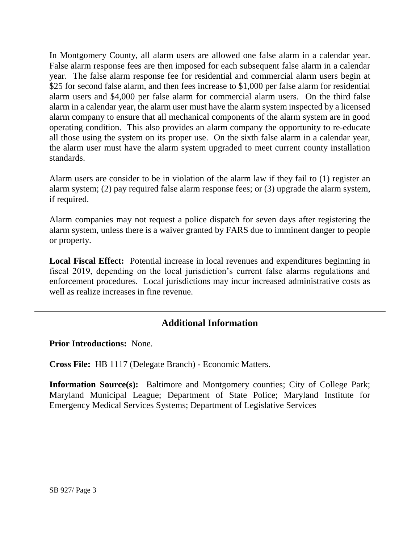In Montgomery County, all alarm users are allowed one false alarm in a calendar year. False alarm response fees are then imposed for each subsequent false alarm in a calendar year. The false alarm response fee for residential and commercial alarm users begin at \$25 for second false alarm, and then fees increase to \$1,000 per false alarm for residential alarm users and \$4,000 per false alarm for commercial alarm users. On the third false alarm in a calendar year, the alarm user must have the alarm system inspected by a licensed alarm company to ensure that all mechanical components of the alarm system are in good operating condition. This also provides an alarm company the opportunity to re-educate all those using the system on its proper use. On the sixth false alarm in a calendar year, the alarm user must have the alarm system upgraded to meet current county installation standards.

Alarm users are consider to be in violation of the alarm law if they fail to (1) register an alarm system; (2) pay required false alarm response fees; or (3) upgrade the alarm system, if required.

Alarm companies may not request a police dispatch for seven days after registering the alarm system, unless there is a waiver granted by FARS due to imminent danger to people or property.

**Local Fiscal Effect:** Potential increase in local revenues and expenditures beginning in fiscal 2019, depending on the local jurisdiction's current false alarms regulations and enforcement procedures. Local jurisdictions may incur increased administrative costs as well as realize increases in fine revenue.

# **Additional Information**

**Prior Introductions:** None.

**Cross File:** HB 1117 (Delegate Branch) - Economic Matters.

**Information Source(s):** Baltimore and Montgomery counties; City of College Park; Maryland Municipal League; Department of State Police; Maryland Institute for Emergency Medical Services Systems; Department of Legislative Services